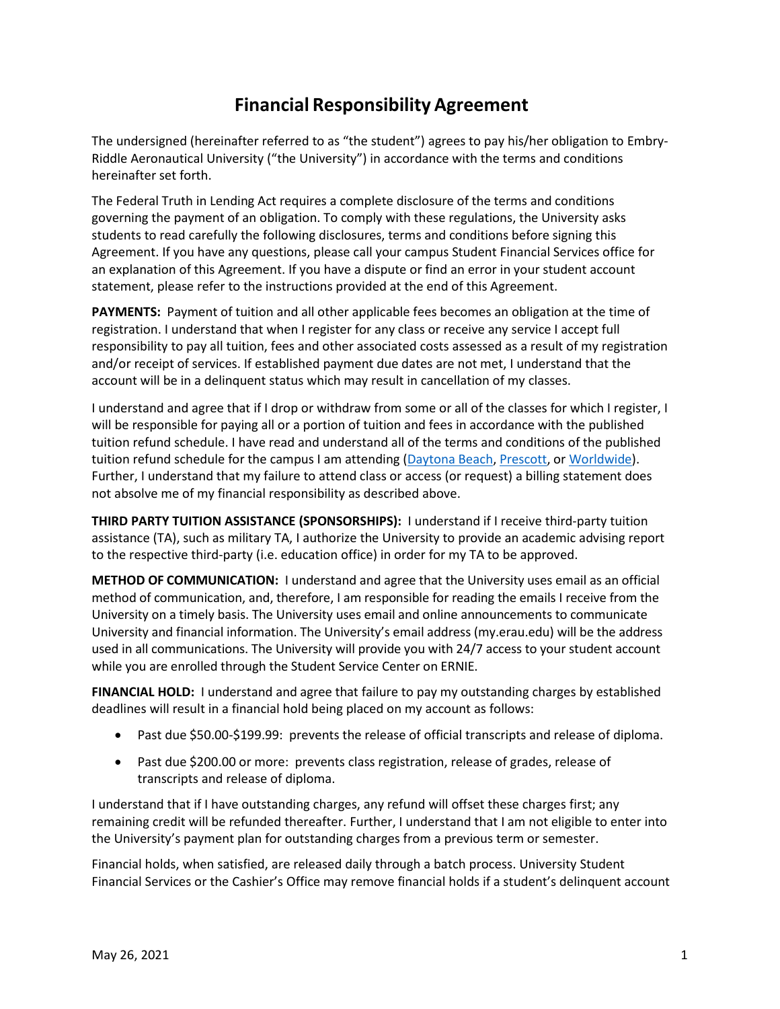## **Financial Responsibility Agreement**

The undersigned (hereinafter referred to as "the student") agrees to pay his/her obligation to Embry-Riddle Aeronautical University ("the University") in accordance with the terms and conditions hereinafter set forth.

The Federal Truth in Lending Act requires a complete disclosure of the terms and conditions governing the payment of an obligation. To comply with these regulations, the University asks students to read carefully the following disclosures, terms and conditions before signing this Agreement. If you have any questions, please call your campus Student Financial Services office for an explanation of this Agreement. If you have a dispute or find an error in your student account statement, please refer to the instructions provided at the end of this Agreement.

**PAYMENTS:** Payment of tuition and all other applicable fees becomes an obligation at the time of registration. I understand that when I register for any class or receive any service I accept full responsibility to pay all tuition, fees and other associated costs assessed as a result of my registration and/or receipt of services. If established payment due dates are not met, I understand that the account will be in a delinquent status which may result in cancellation of my classes.

I understand and agree that if I drop or withdraw from some or all of the classes for which I register, I will be responsible for paying all or a portion of tuition and fees in accordance with the published tuition refund schedule. I have read and understand all of the terms and conditions of the published tuition refund schedule for the campus I am attending [\(Daytona Beach,](file:///s:/ernie.erau.edu/Departments/bursar-daytona/Pages/Default.aspx) [Prescott,](https://ernie.erau.edu/Departments/cashiers-office-prescott/Pages/Default.aspx) or [Worldwide\)](https://ernie.erau.edu/Departments/bursar-worldwide/Pages/Default.aspx). Further, I understand that my failure to attend class or access (or request) a billing statement does not absolve me of my financial responsibility as described above.

**THIRD PARTY TUITION ASSISTANCE (SPONSORSHIPS):** I understand if I receive third-party tuition assistance (TA), such as military TA, I authorize the University to provide an academic advising report to the respective third-party (i.e. education office) in order for my TA to be approved.

**METHOD OF COMMUNICATION:** I understand and agree that the University uses email as an official method of communication, and, therefore, I am responsible for reading the emails I receive from the University on a timely basis. The University uses email and online announcements to communicate University and financial information. The University's email address (my.erau.edu) will be the address used in all communications. The University will provide you with 24/7 access to your student account while you are enrolled through the Student Service Center on ERNIE.

**FINANCIAL HOLD:** I understand and agree that failure to pay my outstanding charges by established deadlines will result in a financial hold being placed on my account as follows:

- Past due \$50.00-\$199.99: prevents the release of official transcripts and release of diploma.
- Past due \$200.00 or more: prevents class registration, release of grades, release of transcripts and release of diploma.

I understand that if I have outstanding charges, any refund will offset these charges first; any remaining credit will be refunded thereafter. Further, I understand that I am not eligible to enter into the University's payment plan for outstanding charges from a previous term or semester.

Financial holds, when satisfied, are released daily through a batch process. University Student Financial Services or the Cashier's Office may remove financial holds if a student's delinquent account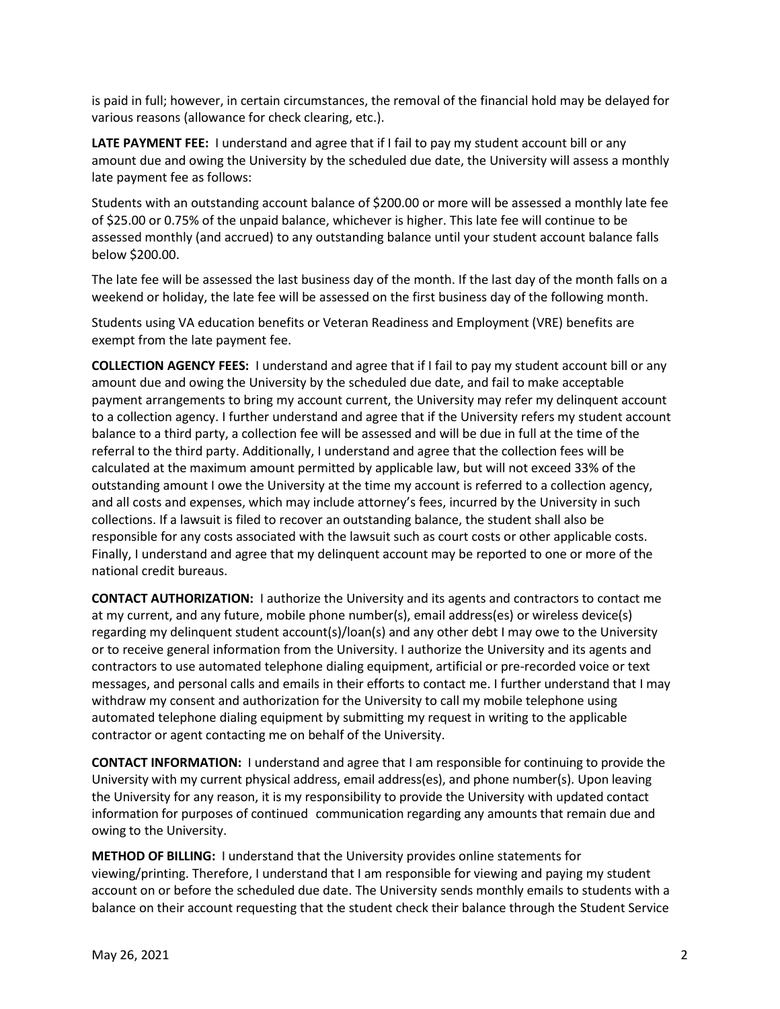is paid in full; however, in certain circumstances, the removal of the financial hold may be delayed for various reasons (allowance for check clearing, etc.).

**LATE PAYMENT FEE:** I understand and agree that if I fail to pay my student account bill or any amount due and owing the University by the scheduled due date, the University will assess a monthly late payment fee as follows:

Students with an outstanding account balance of \$200.00 or more will be assessed a monthly late fee of \$25.00 or 0.75% of the unpaid balance, whichever is higher. This late fee will continue to be assessed monthly (and accrued) to any outstanding balance until your student account balance falls below \$200.00.

The late fee will be assessed the last business day of the month. If the last day of the month falls on a weekend or holiday, the late fee will be assessed on the first business day of the following month.

Students using VA education benefits or Veteran Readiness and Employment (VRE) benefits are exempt from the late payment fee.

**COLLECTION AGENCY FEES:** I understand and agree that if I fail to pay my student account bill or any amount due and owing the University by the scheduled due date, and fail to make acceptable payment arrangements to bring my account current, the University may refer my delinquent account to a collection agency. I further understand and agree that if the University refers my student account balance to a third party, a collection fee will be assessed and will be due in full at the time of the referral to the third party. Additionally, I understand and agree that the collection fees will be calculated at the maximum amount permitted by applicable law, but will not exceed 33% of the outstanding amount I owe the University at the time my account is referred to a collection agency, and all costs and expenses, which may include attorney's fees, incurred by the University in such collections. If a lawsuit is filed to recover an outstanding balance, the student shall also be responsible for any costs associated with the lawsuit such as court costs or other applicable costs. Finally, I understand and agree that my delinquent account may be reported to one or more of the national credit bureaus.

**CONTACT AUTHORIZATION:** I authorize the University and its agents and contractors to contact me at my current, and any future, mobile phone number(s), email address(es) or wireless device(s) regarding my delinquent student account(s)/loan(s) and any other debt I may owe to the University or to receive general information from the University. I authorize the University and its agents and contractors to use automated telephone dialing equipment, artificial or pre-recorded voice or text messages, and personal calls and emails in their efforts to contact me. I further understand that I may withdraw my consent and authorization for the University to call my mobile telephone using automated telephone dialing equipment by submitting my request in writing to the applicable contractor or agent contacting me on behalf of the University.

**CONTACT INFORMATION:** I understand and agree that I am responsible for continuing to provide the University with my current physical address, email address(es), and phone number(s). Upon leaving the University for any reason, it is my responsibility to provide the University with updated contact information for purposes of continued communication regarding any amounts that remain due and owing to the University.

**METHOD OF BILLING:** I understand that the University provides online statements for viewing/printing. Therefore, I understand that I am responsible for viewing and paying my student account on or before the scheduled due date. The University sends monthly emails to students with a balance on their account requesting that the student check their balance through the Student Service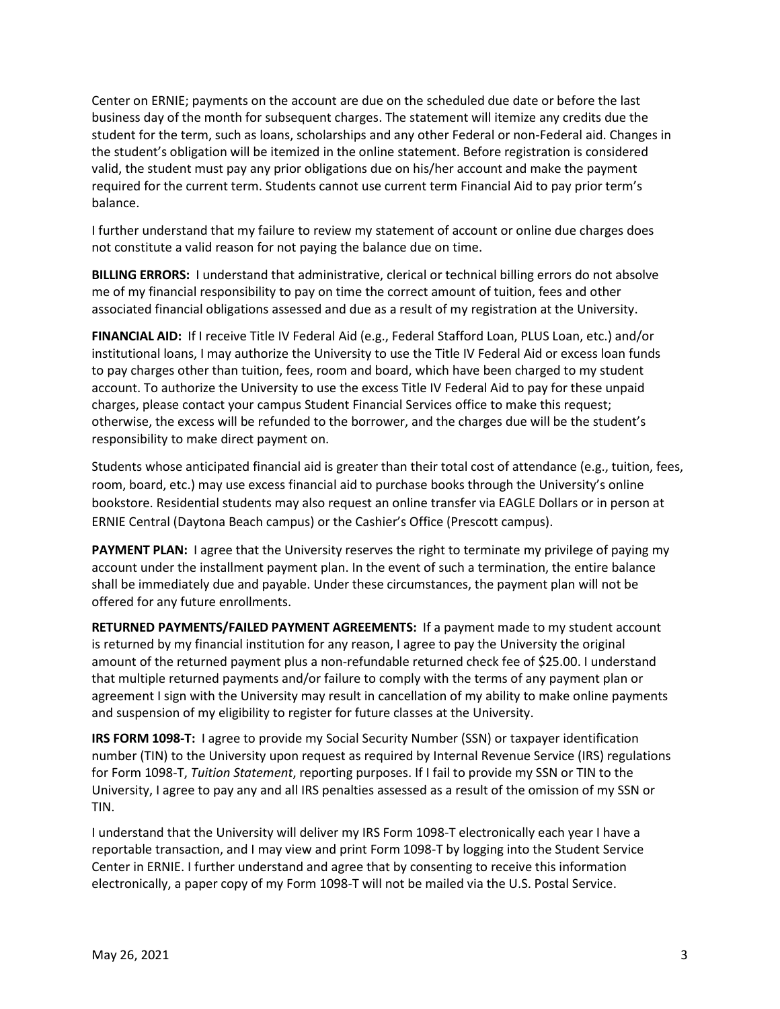Center on ERNIE; payments on the account are due on the scheduled due date or before the last business day of the month for subsequent charges. The statement will itemize any credits due the student for the term, such as loans, scholarships and any other Federal or non-Federal aid. Changes in the student's obligation will be itemized in the online statement. Before registration is considered valid, the student must pay any prior obligations due on his/her account and make the payment required for the current term. Students cannot use current term Financial Aid to pay prior term's balance.

I further understand that my failure to review my statement of account or online due charges does not constitute a valid reason for not paying the balance due on time.

**BILLING ERRORS:** I understand that administrative, clerical or technical billing errors do not absolve me of my financial responsibility to pay on time the correct amount of tuition, fees and other associated financial obligations assessed and due as a result of my registration at the University.

**FINANCIAL AID:** If I receive Title IV Federal Aid (e.g., Federal Stafford Loan, PLUS Loan, etc.) and/or institutional loans, I may authorize the University to use the Title IV Federal Aid or excess loan funds to pay charges other than tuition, fees, room and board, which have been charged to my student account. To authorize the University to use the excess Title IV Federal Aid to pay for these unpaid charges, please contact your campus Student Financial Services office to make this request; otherwise, the excess will be refunded to the borrower, and the charges due will be the student's responsibility to make direct payment on.

Students whose anticipated financial aid is greater than their total cost of attendance (e.g., tuition, fees, room, board, etc.) may use excess financial aid to purchase books through the University's online bookstore. Residential students may also request an online transfer via EAGLE Dollars or in person at ERNIE Central (Daytona Beach campus) or the Cashier's Office (Prescott campus).

**PAYMENT PLAN:** I agree that the University reserves the right to terminate my privilege of paying my account under the installment payment plan. In the event of such a termination, the entire balance shall be immediately due and payable. Under these circumstances, the payment plan will not be offered for any future enrollments.

**RETURNED PAYMENTS/FAILED PAYMENT AGREEMENTS:** If a payment made to my student account is returned by my financial institution for any reason, I agree to pay the University the original amount of the returned payment plus a non-refundable returned check fee of \$25.00. I understand that multiple returned payments and/or failure to comply with the terms of any payment plan or agreement I sign with the University may result in cancellation of my ability to make online payments and suspension of my eligibility to register for future classes at the University.

**IRS FORM 1098-T:** I agree to provide my Social Security Number (SSN) or taxpayer identification number (TIN) to the University upon request as required by Internal Revenue Service (IRS) regulations for Form 1098-T, *Tuition Statement*, reporting purposes. If I fail to provide my SSN or TIN to the University, I agree to pay any and all IRS penalties assessed as a result of the omission of my SSN or TIN.

I understand that the University will deliver my IRS Form 1098-T electronically each year I have a reportable transaction, and I may view and print Form 1098-T by logging into the Student Service Center in ERNIE. I further understand and agree that by consenting to receive this information electronically, a paper copy of my Form 1098-T will not be mailed via the U.S. Postal Service.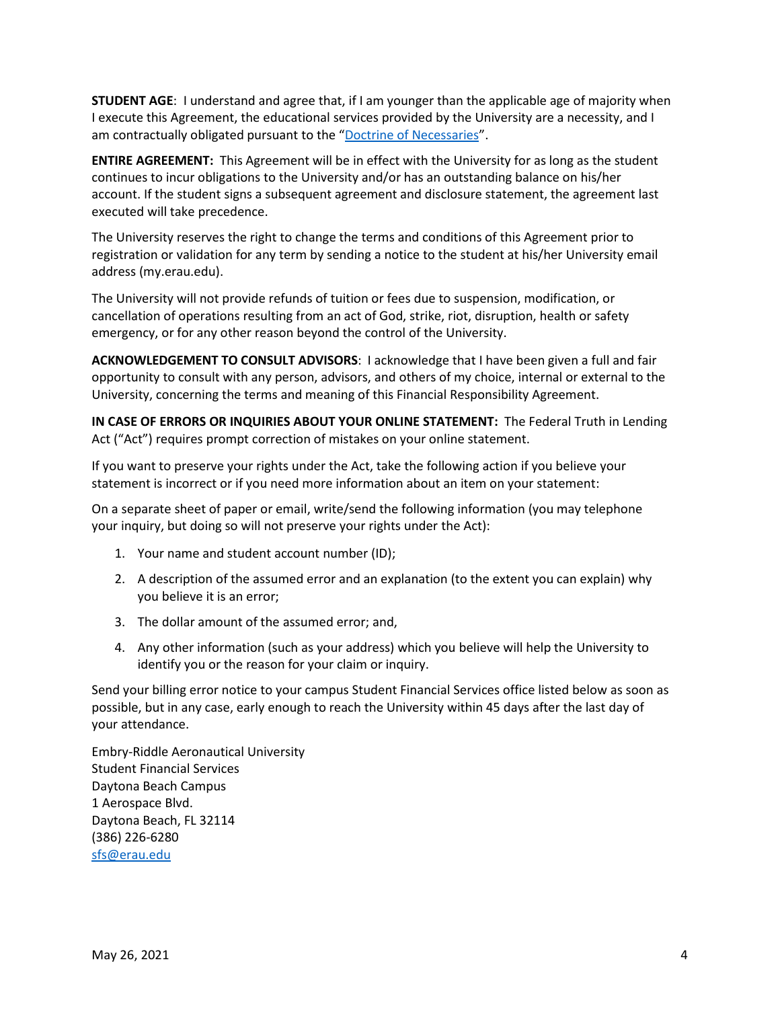**STUDENT AGE**: I understand and agree that, if I am younger than the applicable age of majority when I execute this Agreement, the educational services provided by the University are a necessity, and I am contractually obligated pursuant to the "[Doctrine of Necessaries](https://en.wikipedia.org/wiki/Capacity_in_English_law)".

**ENTIRE AGREEMENT:** This Agreement will be in effect with the University for as long as the student continues to incur obligations to the University and/or has an outstanding balance on his/her account. If the student signs a subsequent agreement and disclosure statement, the agreement last executed will take precedence.

The University reserves the right to change the terms and conditions of this Agreement prior to registration or validation for any term by sending a notice to the student at his/her University email address (my.erau.edu).

The University will not provide refunds of tuition or fees due to suspension, modification, or cancellation of operations resulting from an act of God, strike, riot, disruption, health or safety emergency, or for any other reason beyond the control of the University.

**ACKNOWLEDGEMENT TO CONSULT ADVISORS**: I acknowledge that I have been given a full and fair opportunity to consult with any person, advisors, and others of my choice, internal or external to the University, concerning the terms and meaning of this Financial Responsibility Agreement.

**IN CASE OF ERRORS OR INQUIRIES ABOUT YOUR ONLINE STATEMENT:** The Federal Truth in Lending Act ("Act") requires prompt correction of mistakes on your online statement.

If you want to preserve your rights under the Act, take the following action if you believe your statement is incorrect or if you need more information about an item on your statement:

On a separate sheet of paper or email, write/send the following information (you may telephone your inquiry, but doing so will not preserve your rights under the Act):

- 1. Your name and student account number (ID);
- 2. A description of the assumed error and an explanation (to the extent you can explain) why you believe it is an error;
- 3. The dollar amount of the assumed error; and,
- 4. Any other information (such as your address) which you believe will help the University to identify you or the reason for your claim or inquiry.

Send your billing error notice to your campus Student Financial Services office listed below as soon as possible, but in any case, early enough to reach the University within 45 days after the last day of your attendance.

Embry-Riddle Aeronautical University Student Financial Services Daytona Beach Campus 1 Aerospace Blvd. Daytona Beach, FL 32114 (386) 226-6280 [sfs@erau.edu](mailto:sfs@erau.edu)